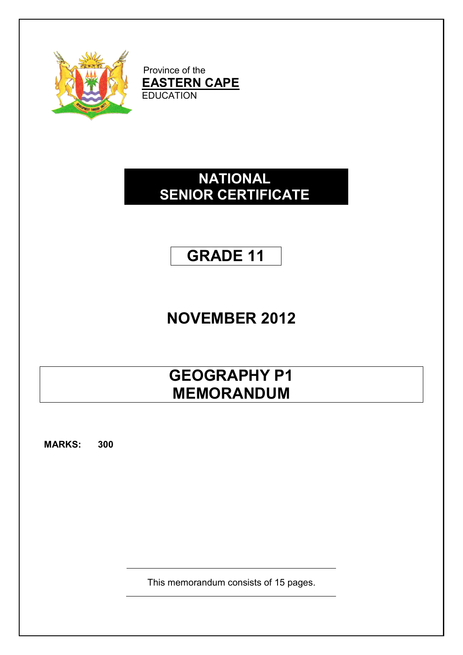

Province of the **EASTERN CAPE** EDUCATION

### **NATIONAL SENIOR CERTIFICATE**

### **GRADE 11**

# **NOVEMBER 2012**

## **GEOGRAPHY P1 MEMORANDUM**

**MARKS: 300**

This memorandum consists of 15 pages.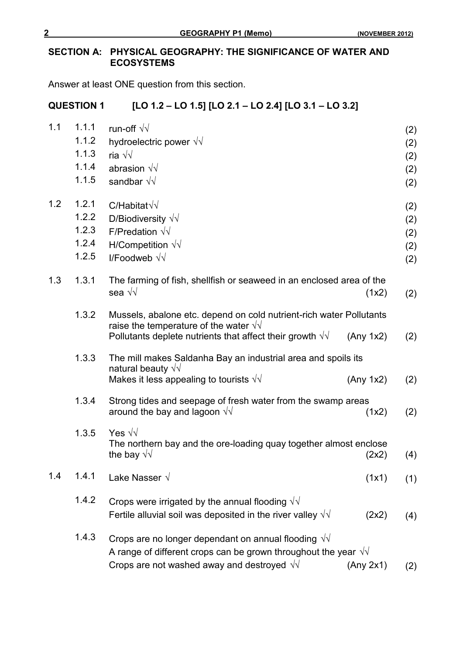#### **SECTION A: PHYSICAL GEOGRAPHY: THE SIGNIFICANCE OF WATER AND ECOSYSTEMS**

Answer at least ONE question from this section.

#### **QUESTION 1 [LO 1.2 – LO 1.5] [LO 2.1 – LO 2.4] [LO 3.1 – LO 3.2]**

| 1.1 | 1.1.1 | run-off $\sqrt{v}$                                                                                                |           | (2) |
|-----|-------|-------------------------------------------------------------------------------------------------------------------|-----------|-----|
|     | 1.1.2 | hydroelectric power $\sqrt{v}$                                                                                    |           | (2) |
|     | 1.1.3 | ria $\sqrt{\sqrt{2}}$                                                                                             |           | (2) |
|     | 1.1.4 | abrasion $\sqrt{v}$                                                                                               |           | (2) |
|     | 1.1.5 | sandbar $\sqrt{v}$                                                                                                |           | (2) |
| 1.2 | 1.2.1 | $C/H$ abitat $\sqrt{\sqrt{2}}$                                                                                    |           | (2) |
|     | 1.2.2 | D/Biodiversity $\sqrt{v}$                                                                                         |           | (2) |
|     | 1.2.3 | F/Predation $\sqrt{v}$                                                                                            |           | (2) |
|     | 1.2.4 | H/Competition $\sqrt{v}$                                                                                          |           | (2) |
|     | 1.2.5 | I/Foodweb $\sqrt{v}$                                                                                              |           | (2) |
| 1.3 | 1.3.1 | The farming of fish, shellfish or seaweed in an enclosed area of the<br>sea √√                                    | (1x2)     | (2) |
|     | 1.3.2 | Mussels, abalone etc. depend on cold nutrient-rich water Pollutants                                               |           |     |
|     |       | raise the temperature of the water $\sqrt{v}$<br>Pollutants deplete nutrients that affect their growth $\sqrt{v}$ | (Any 1x2) | (2) |
|     | 1.3.3 | The mill makes Saldanha Bay an industrial area and spoils its                                                     |           |     |
|     |       | natural beauty $\sqrt{v}$<br>Makes it less appealing to tourists $\sqrt{v}$                                       | (Any 1x2) | (2) |
|     | 1.3.4 | Strong tides and seepage of fresh water from the swamp areas                                                      |           |     |
|     |       | around the bay and lagoon $\sqrt{v}$                                                                              | (1x2)     | (2) |
|     | 1.3.5 | Yes $\sqrt{v}$<br>The northern bay and the ore-loading quay together almost enclose                               |           |     |
|     |       | the bay $\sqrt{v}$                                                                                                | (2x2)     | (4) |
| 1.4 | 1.4.1 | Lake Nasser √                                                                                                     | (1x1)     | (1) |
|     | 1.4.2 | Crops were irrigated by the annual flooding $\sqrt{d}$                                                            |           |     |
|     |       | Fertile alluvial soil was deposited in the river valley $\sqrt{d}$                                                | (2x2)     | (4) |
|     | 1.4.3 | Crops are no longer dependant on annual flooding $\sqrt{v}$                                                       |           |     |
|     |       | A range of different crops can be grown throughout the year $\sqrt{v}$                                            |           |     |
|     |       | Crops are not washed away and destroyed $\sqrt{v}$                                                                | (Any 2x1) | (2) |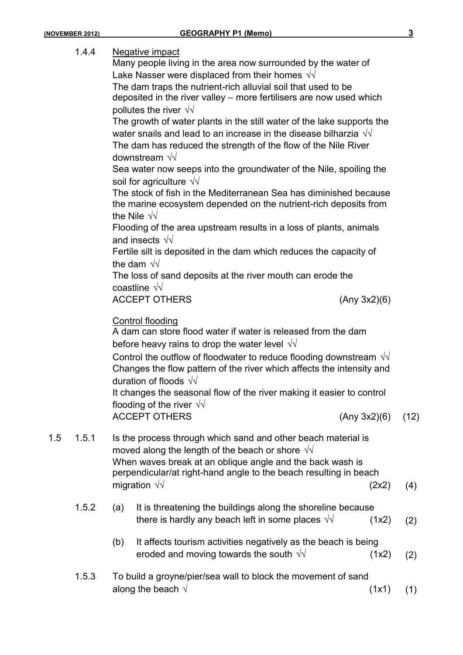|     | 1.4.4 | <b>Negative impact</b><br>Many people living in the area now surrounded by the water of<br>Lake Nasser were displaced from their homes $\sqrt{v}$<br>The dam traps the nutrient-rich alluvial soil that used to be<br>deposited in the river valley - more fertilisers are now used which<br>pollutes the river $\sqrt{v}$<br>The growth of water plants in the still water of the lake supports the<br>water snails and lead to an increase in the disease bilharzia $\sqrt{v}$<br>The dam has reduced the strength of the flow of the Nile River<br>downstream $\sqrt{v}$<br>Sea water now seeps into the groundwater of the Nile, spoiling the<br>soil for agriculture $\sqrt{v}$<br>The stock of fish in the Mediterranean Sea has diminished because<br>the marine ecosystem depended on the nutrient-rich deposits from<br>the Nile $\sqrt{v}$<br>Flooding of the area upstream results in a loss of plants, animals<br>and insects $\sqrt{v}$<br>Fertile silt is deposited in the dam which reduces the capacity of<br>the dam $\sqrt{v}$<br>The loss of sand deposits at the river mouth can erode the<br>coastline $\sqrt{v}$<br><b>ACCEPT OTHERS</b><br>(Any 3x2)(6) |      |
|-----|-------|--------------------------------------------------------------------------------------------------------------------------------------------------------------------------------------------------------------------------------------------------------------------------------------------------------------------------------------------------------------------------------------------------------------------------------------------------------------------------------------------------------------------------------------------------------------------------------------------------------------------------------------------------------------------------------------------------------------------------------------------------------------------------------------------------------------------------------------------------------------------------------------------------------------------------------------------------------------------------------------------------------------------------------------------------------------------------------------------------------------------------------------------------------------------------------|------|
|     |       | <b>Control flooding</b><br>A dam can store flood water if water is released from the dam<br>before heavy rains to drop the water level $\sqrt{v}$<br>Control the outflow of floodwater to reduce flooding downstream $\sqrt{v}$<br>Changes the flow pattern of the river which affects the intensity and<br>duration of floods $\sqrt{v}$<br>It changes the seasonal flow of the river making it easier to control<br>flooding of the river $\sqrt{v}$<br><b>ACCEPT OTHERS</b><br>(Any 3x2)(6)                                                                                                                                                                                                                                                                                                                                                                                                                                                                                                                                                                                                                                                                                 | (12) |
| 1.5 | 1.5.1 | Is the process through which sand and other beach material is<br>moved along the length of the beach or shore $\sqrt{v}$<br>When waves break at an oblique angle and the back wash is<br>perpendicular/at right-hand angle to the beach resulting in beach<br>migration $\sqrt{v}$<br>(2x2)                                                                                                                                                                                                                                                                                                                                                                                                                                                                                                                                                                                                                                                                                                                                                                                                                                                                                    | (4)  |
|     | 1.5.2 | It is threatening the buildings along the shoreline because<br>(a)<br>there is hardly any beach left in some places $\sqrt{v}$<br>(1x2)                                                                                                                                                                                                                                                                                                                                                                                                                                                                                                                                                                                                                                                                                                                                                                                                                                                                                                                                                                                                                                        | (2)  |
|     |       | It affects tourism activities negatively as the beach is being<br>(b)<br>eroded and moving towards the south $\sqrt{v}$<br>(1x2)                                                                                                                                                                                                                                                                                                                                                                                                                                                                                                                                                                                                                                                                                                                                                                                                                                                                                                                                                                                                                                               | (2)  |
|     | 1.5.3 | To build a groyne/pier/sea wall to block the movement of sand<br>along the beach $\sqrt{ }$<br>(1x1)                                                                                                                                                                                                                                                                                                                                                                                                                                                                                                                                                                                                                                                                                                                                                                                                                                                                                                                                                                                                                                                                           | (1)  |
|     |       |                                                                                                                                                                                                                                                                                                                                                                                                                                                                                                                                                                                                                                                                                                                                                                                                                                                                                                                                                                                                                                                                                                                                                                                |      |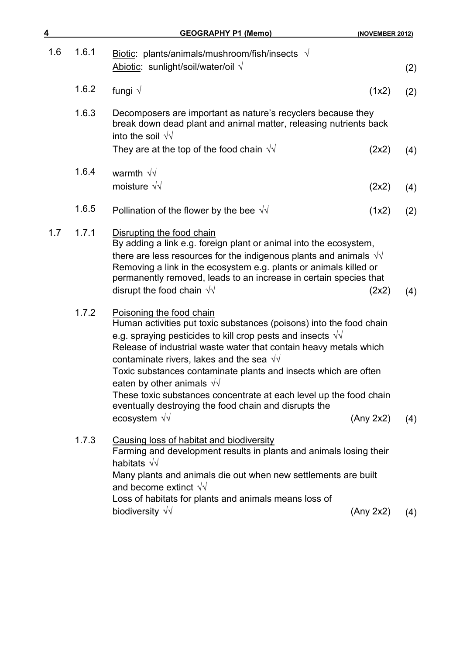| 4   |       | <b>GEOGRAPHY P1 (Memo)</b>                                                                                                                                                                                                                                                                                                                                                                                                                                                                                                                                    | (NOVEMBER 2012) |     |
|-----|-------|---------------------------------------------------------------------------------------------------------------------------------------------------------------------------------------------------------------------------------------------------------------------------------------------------------------------------------------------------------------------------------------------------------------------------------------------------------------------------------------------------------------------------------------------------------------|-----------------|-----|
| 1.6 | 1.6.1 | Biotic: plants/animals/mushroom/fish/insects $\sqrt{}$<br>Abiotic: sunlight/soil/water/oil $\sqrt{ }$                                                                                                                                                                                                                                                                                                                                                                                                                                                         |                 | (2) |
|     | 1.6.2 | fungi $\sqrt$                                                                                                                                                                                                                                                                                                                                                                                                                                                                                                                                                 | (1x2)           | (2) |
|     | 1.6.3 | Decomposers are important as nature's recyclers because they<br>break down dead plant and animal matter, releasing nutrients back<br>into the soil $\sqrt{v}$<br>They are at the top of the food chain $\sqrt{v}$                                                                                                                                                                                                                                                                                                                                             | (2x2)           | (4) |
|     | 1.6.4 | warmth $\sqrt{v}$<br>moisture $\sqrt{v}$                                                                                                                                                                                                                                                                                                                                                                                                                                                                                                                      | (2x2)           | (4) |
|     | 1.6.5 | Pollination of the flower by the bee $\sqrt{v}$                                                                                                                                                                                                                                                                                                                                                                                                                                                                                                               | (1x2)           | (2) |
| 1.7 | 1.7.1 | Disrupting the food chain<br>By adding a link e.g. foreign plant or animal into the ecosystem,<br>there are less resources for the indigenous plants and animals $\sqrt{v}$<br>Removing a link in the ecosystem e.g. plants or animals killed or<br>permanently removed, leads to an increase in certain species that<br>disrupt the food chain $\sqrt{v}$                                                                                                                                                                                                    | (2x2)           | (4) |
|     | 1.7.2 | Poisoning the food chain<br>Human activities put toxic substances (poisons) into the food chain<br>e.g. spraying pesticides to kill crop pests and insects $\sqrt{v}$<br>Release of industrial waste water that contain heavy metals which<br>contaminate rivers, lakes and the sea $\sqrt{v}$<br>Toxic substances contaminate plants and insects which are often<br>eaten by other animals $\sqrt{v}$<br>These toxic substances concentrate at each level up the food chain<br>eventually destroying the food chain and disrupts the<br>ecosystem $\sqrt{v}$ | (Any 2x2)       | (4) |
|     | 1.7.3 | Causing loss of habitat and biodiversity<br>Farming and development results in plants and animals losing their<br>habitats $\sqrt{v}$<br>Many plants and animals die out when new settlements are built<br>and become extinct $\sqrt{v}$<br>Loss of habitats for plants and animals means loss of<br>biodiversity $\sqrt{v}$                                                                                                                                                                                                                                  | (Any 2x2)       | (4) |
|     |       |                                                                                                                                                                                                                                                                                                                                                                                                                                                                                                                                                               |                 |     |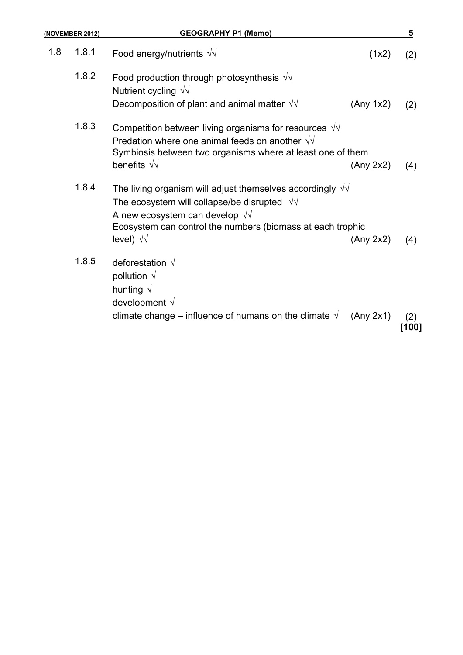| (NOVEMBER 2012) | <b>GEOGRAPHY P1 (Memo)</b>                                                                                                                                                                                                                            |           | 5            |
|-----------------|-------------------------------------------------------------------------------------------------------------------------------------------------------------------------------------------------------------------------------------------------------|-----------|--------------|
| 1.8.1<br>1.8    | Food energy/nutrients $\sqrt{v}$                                                                                                                                                                                                                      | (1x2)     | (2)          |
| 1.8.2           | Food production through photosynthesis $\sqrt{v}$<br>Nutrient cycling $\sqrt{v}$<br>Decomposition of plant and animal matter $\sqrt{v}$                                                                                                               | (Any 1x2) | (2)          |
| 1.8.3           | Competition between living organisms for resources $\sqrt{v}$<br>Predation where one animal feeds on another $\sqrt{v}$<br>Symbiosis between two organisms where at least one of them<br>benefits $\sqrt{v}$                                          | (Any 2x2) | (4)          |
| 1.8.4           | The living organism will adjust themselves accordingly $\sqrt{v}$<br>The ecosystem will collapse/be disrupted $\sqrt{v}$<br>A new ecosystem can develop $\sqrt{v}$<br>Ecosystem can control the numbers (biomass at each trophic<br>level) $\sqrt{v}$ | (Any 2x2) | (4)          |
| 1.8.5           | deforestation $\sqrt{ }$<br>pollution $\sqrt{ }$<br>hunting $\sqrt{ }$<br>development $\sqrt{}$                                                                                                                                                       |           |              |
|                 | climate change – influence of humans on the climate $\sqrt{ }$                                                                                                                                                                                        | (Any 2x1) | (2)<br>[100] |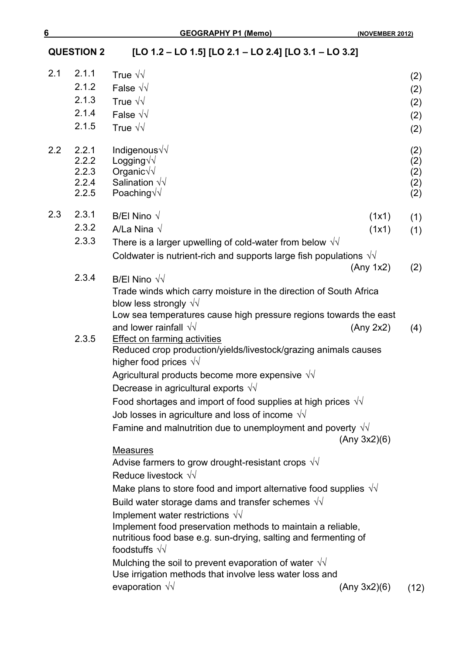**QUESTION 2 [LO 1.2 – LO 1.5] [LO 2.1 – LO 2.4] [LO 3.1 – LO 3.2]**

| 2.1     | 2.1.1          | True $\sqrt{v}$                                                                                                                                         | (2)        |
|---------|----------------|---------------------------------------------------------------------------------------------------------------------------------------------------------|------------|
|         | 2.1.2          | False $\sqrt{d}$                                                                                                                                        | (2)        |
|         | 2.1.3          | True $\sqrt{v}$                                                                                                                                         | (2)        |
|         | 2.1.4          | False $\sqrt{v}$                                                                                                                                        | (2)        |
|         | 2.1.5          | True $\sqrt{v}$                                                                                                                                         | (2)        |
| $2.2\,$ | 2.2.1          | Indigenous√√                                                                                                                                            | (2)        |
|         | 2.2.2          | Logging $\sqrt{\sqrt{2}}$                                                                                                                               | (2)        |
|         | 2.2.3<br>2.2.4 | Organic $\sqrt{\sqrt{ }}$<br>Salination $\sqrt{v}$                                                                                                      | (2)<br>(2) |
|         | 2.2.5          | Poaching $\sqrt{\sqrt{2}}$                                                                                                                              | (2)        |
| 2.3     | 2.3.1          | B/El Nino $\sqrt{}$<br>(1x1)                                                                                                                            | (1)        |
|         | 2.3.2          | A/La Nina $\sqrt{}$<br>(1x1)                                                                                                                            | (1)        |
|         | 2.3.3          | There is a larger upwelling of cold-water from below $\sqrt{v}$                                                                                         |            |
|         |                | Coldwater is nutrient-rich and supports large fish populations $\sqrt{v}$                                                                               |            |
|         |                | (Any 1x2)                                                                                                                                               | (2)        |
|         | 2.3.4          | B/El Nino $\sqrt{v}$                                                                                                                                    |            |
|         |                | Trade winds which carry moisture in the direction of South Africa                                                                                       |            |
|         |                | blow less strongly $\sqrt{v}$                                                                                                                           |            |
|         |                | Low sea temperatures cause high pressure regions towards the east                                                                                       |            |
|         |                | and lower rainfall $\sqrt{v}$<br>(Any 2x2)                                                                                                              | (4)        |
|         | 2.3.5          | <b>Effect on farming activities</b><br>Reduced crop production/yields/livestock/grazing animals causes                                                  |            |
|         |                | higher food prices $\sqrt{v}$                                                                                                                           |            |
|         |                | Agricultural products become more expensive $\sqrt{v}$                                                                                                  |            |
|         |                | Decrease in agricultural exports $\sqrt{v}$                                                                                                             |            |
|         |                | Food shortages and import of food supplies at high prices $\sqrt{v}$                                                                                    |            |
|         |                | Job losses in agriculture and loss of income $\sqrt{\sqrt{}}$                                                                                           |            |
|         |                | Famine and malnutrition due to unemployment and poverty $\sqrt{v}$<br>(Any 3x2)(6)                                                                      |            |
|         |                | <b>Measures</b>                                                                                                                                         |            |
|         |                | Advise farmers to grow drought-resistant crops $\sqrt{v}$                                                                                               |            |
|         |                | Reduce livestock $\sqrt{v}$                                                                                                                             |            |
|         |                | Make plans to store food and import alternative food supplies $\sqrt{v}$                                                                                |            |
|         |                | Build water storage dams and transfer schemes $\sqrt{v}$                                                                                                |            |
|         |                | Implement water restrictions $\sqrt{v}$                                                                                                                 |            |
|         |                | Implement food preservation methods to maintain a reliable,<br>nutritious food base e.g. sun-drying, salting and fermenting of<br>foodstuffs $\sqrt{v}$ |            |
|         |                |                                                                                                                                                         |            |
|         |                | Mulching the soil to prevent evaporation of water $\sqrt{v}$<br>Use irrigation methods that involve less water loss and                                 |            |
|         |                | evaporation $\sqrt{v}$<br>(Any 3x2)(6)                                                                                                                  |            |
|         |                |                                                                                                                                                         | (12)       |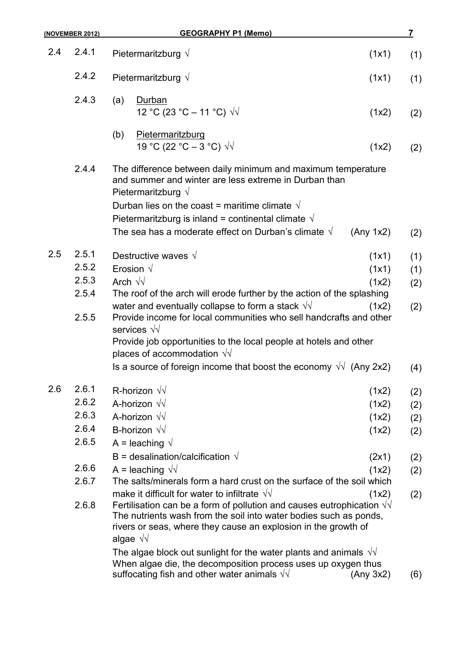| (NOVEMBER 2012) |       | <b>GEOGRAPHY P1 (Memo)</b>                                                                                                                                                                                                                                                                                                                   |           |     |
|-----------------|-------|----------------------------------------------------------------------------------------------------------------------------------------------------------------------------------------------------------------------------------------------------------------------------------------------------------------------------------------------|-----------|-----|
| 2.4             | 2.4.1 | Pietermaritzburg $\sqrt{}$                                                                                                                                                                                                                                                                                                                   | (1x1)     | (1) |
|                 | 2.4.2 | Pietermaritzburg $\sqrt{ }$                                                                                                                                                                                                                                                                                                                  | (1x1)     | (1) |
|                 | 2.4.3 | Durban<br>(a)<br>12 °C (23 °C – 11 °C) $\sqrt{v}$                                                                                                                                                                                                                                                                                            | (1x2)     | (2) |
|                 |       | Pietermaritzburg<br>(b)<br>19 °C (22 °C – 3 °C) $\sqrt{v}$                                                                                                                                                                                                                                                                                   | (1x2)     | (2) |
|                 | 2.4.4 | The difference between daily minimum and maximum temperature<br>and summer and winter are less extreme in Durban than<br>Pietermaritzburg $\sqrt{ }$<br>Durban lies on the coast = maritime climate $\sqrt{ }$<br>Pietermaritzburg is inland = continental climate $\sqrt{ }$<br>The sea has a moderate effect on Durban's climate $\sqrt{}$ | (Any 1x2) | (2) |
| 2.5             | 2.5.1 | Destructive waves $\sqrt{ }$                                                                                                                                                                                                                                                                                                                 | (1x1)     |     |
|                 | 2.5.2 | Erosion $\sqrt{}$                                                                                                                                                                                                                                                                                                                            | (1x1)     | (1) |
|                 | 2.5.3 | Arch $\sqrt{v}$                                                                                                                                                                                                                                                                                                                              | (1x2)     | (1) |
|                 | 2.5.4 | The roof of the arch will erode further by the action of the splashing                                                                                                                                                                                                                                                                       |           | (2) |
|                 | 2.5.5 | water and eventually collapse to form a stack $\sqrt{v}$<br>Provide income for local communities who sell handcrafts and other<br>services $\sqrt{v}$<br>Provide job opportunities to the local people at hotels and other                                                                                                                   | (1x2)     | (2) |
|                 |       | places of accommodation $\sqrt{v}$                                                                                                                                                                                                                                                                                                           |           |     |
|                 |       | Is a source of foreign income that boost the economy $\sqrt{v}$ (Any 2x2)                                                                                                                                                                                                                                                                    |           | (4) |
| 2.6             | 2.6.1 | R-horizon $\sqrt{v}$                                                                                                                                                                                                                                                                                                                         | (1x2)     | (2) |
|                 | 2.6.2 | A-horizon $\sqrt{v}$                                                                                                                                                                                                                                                                                                                         | (1x2)     | (2) |
|                 | 2.6.3 | A-horizon $\sqrt{v}$                                                                                                                                                                                                                                                                                                                         | (1x2)     | (2) |
|                 | 2.6.4 | B-horizon $\sqrt{v}$                                                                                                                                                                                                                                                                                                                         | (1x2)     | (2) |
|                 | 2.6.5 | A = leaching $\sqrt{ }$                                                                                                                                                                                                                                                                                                                      |           |     |
|                 |       | B = desalination/calcification $\sqrt{ }$                                                                                                                                                                                                                                                                                                    | (2x1)     | (2) |
|                 | 2.6.6 | A = leaching $\sqrt{v}$                                                                                                                                                                                                                                                                                                                      | (1x2)     | (2) |
|                 | 2.6.7 | The salts/minerals form a hard crust on the surface of the soil which                                                                                                                                                                                                                                                                        |           |     |
|                 | 2.6.8 | make it difficult for water to infiltrate $\sqrt{v}$<br>Fertilisation can be a form of pollution and causes eutrophication $\sqrt{v}$<br>The nutrients wash from the soil into water bodies such as ponds,<br>rivers or seas, where they cause an explosion in the growth of<br>algae $\sqrt{v}$                                             | (1x2)     | (2) |
|                 |       | The algae block out sunlight for the water plants and animals $\sqrt{v}$<br>When algae die, the decomposition process uses up oxygen thus<br>suffocating fish and other water animals $\sqrt{v}$                                                                                                                                             | (Any 3x2) | (6) |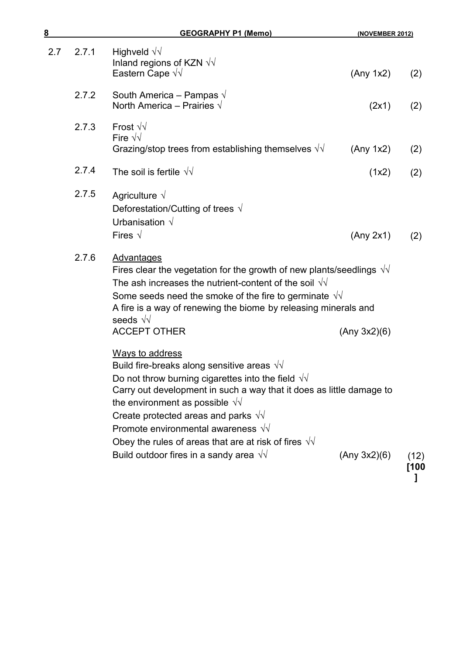| <u>8</u> |       | <b>GEOGRAPHY P1 (Memo)</b>                                                                                                                                                                                                                                                                                                                                                                                        | (NOVEMBER 2012) |              |
|----------|-------|-------------------------------------------------------------------------------------------------------------------------------------------------------------------------------------------------------------------------------------------------------------------------------------------------------------------------------------------------------------------------------------------------------------------|-----------------|--------------|
| 2.7      | 2.7.1 | Highveld $\sqrt{v}$<br>Inland regions of KZN $\sqrt{v}$<br>Eastern Cape $\sqrt{v}$                                                                                                                                                                                                                                                                                                                                | (Any 1x2)       | (2)          |
|          | 2.7.2 | South America - Pampas $\sqrt{}$<br>North America - Prairies $\sqrt{}$                                                                                                                                                                                                                                                                                                                                            | (2x1)           | (2)          |
|          | 2.7.3 | Frost $\sqrt{v}$<br>Fire $\sqrt{v}$<br>Grazing/stop trees from establishing themselves $\sqrt{d}$                                                                                                                                                                                                                                                                                                                 | (Any 1x2)       | (2)          |
|          | 2.7.4 | The soil is fertile $\sqrt{v}$                                                                                                                                                                                                                                                                                                                                                                                    | (1x2)           | (2)          |
|          | 2.7.5 | Agriculture $\sqrt{}$<br>Deforestation/Cutting of trees $\sqrt{ }$<br>Urbanisation $\sqrt{}$<br>Fires $\sqrt{}$                                                                                                                                                                                                                                                                                                   | (Any 2x1)       | (2)          |
|          | 2.7.6 | Advantages<br>Fires clear the vegetation for the growth of new plants/seedlings $\sqrt{v}$<br>The ash increases the nutrient-content of the soil $\sqrt{v}$<br>Some seeds need the smoke of the fire to germinate $\sqrt{v}$<br>A fire is a way of renewing the biome by releasing minerals and<br>seeds $\sqrt{v}$<br><b>ACCEPT OTHER</b>                                                                        | (Any 3x2)(6)    |              |
|          |       | Ways to address<br>Build fire-breaks along sensitive areas $\sqrt{v}$<br>Do not throw burning cigarettes into the field $\sqrt{v}$<br>Carry out development in such a way that it does as little damage to<br>the environment as possible $\sqrt{v}$<br>Create protected areas and parks $\sqrt{v}$<br>Promote environmental awareness $\sqrt{v}$<br>Obey the rules of areas that are at risk of fires $\sqrt{v}$ |                 |              |
|          |       | Build outdoor fires in a sandy area $\sqrt{v}$                                                                                                                                                                                                                                                                                                                                                                    | (Any 3x2)(6)    | (12)<br>[100 |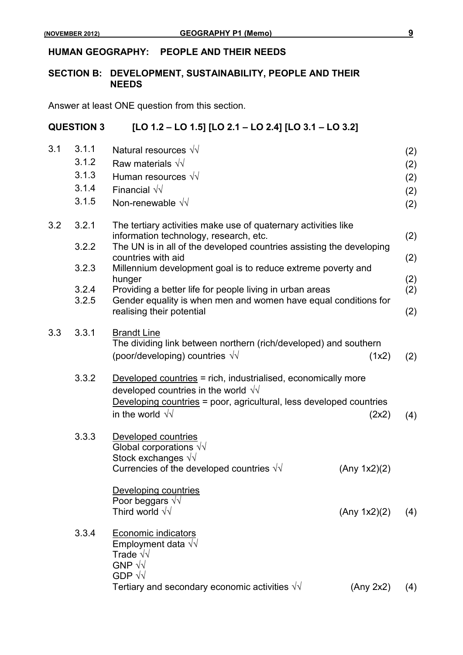#### **HUMAN GEOGRAPHY: PEOPLE AND THEIR NEEDS**

#### **SECTION B: DEVELOPMENT, SUSTAINABILITY, PEOPLE AND THEIR NEEDS**

Answer at least ONE question from this section.

#### **QUESTION 3 [LO 1.2 – LO 1.5] [LO 2.1 – LO 2.4] [LO 3.1 – LO 3.2]**

| 3.1 | 3.1.1<br>3.1.2<br>3.1.3 | Natural resources $\sqrt{\sqrt{}}$<br>Raw materials $\sqrt{v}$<br>Human resources $\sqrt{v}$                                                                                                                   |              | (2)<br>(2)<br>(2) |
|-----|-------------------------|----------------------------------------------------------------------------------------------------------------------------------------------------------------------------------------------------------------|--------------|-------------------|
|     | 3.1.4<br>3.1.5          | Financial $\sqrt{v}$<br>Non-renewable $\sqrt{v}$                                                                                                                                                               |              | (2)<br>(2)        |
| 3.2 | 3.2.1<br>3.2.2          | The tertiary activities make use of quaternary activities like<br>information technology, research, etc.<br>The UN is in all of the developed countries assisting the developing                               |              | (2)               |
|     | 3.2.3                   | countries with aid<br>Millennium development goal is to reduce extreme poverty and                                                                                                                             |              | (2)               |
|     | 3.2.4<br>3.2.5          | hunger<br>Providing a better life for people living in urban areas<br>Gender equality is when men and women have equal conditions for                                                                          |              | (2)<br>(2)        |
|     |                         | realising their potential                                                                                                                                                                                      |              | (2)               |
| 3.3 | 3.3.1                   | <b>Brandt Line</b><br>The dividing link between northern (rich/developed) and southern<br>(poor/developing) countries $\sqrt{v}$                                                                               | (1x2)        | (2)               |
|     | 3.3.2                   | Developed countries = rich, industrialised, economically more<br>developed countries in the world $\sqrt{v}$<br>Developing countries = poor, agricultural, less developed countries<br>in the world $\sqrt{v}$ | (2x2)        | (4)               |
|     | 3.3.3                   | Developed countries<br>Global corporations $\sqrt{\sqrt{ }}$<br>Stock exchanges $\sqrt{v}$<br>Currencies of the developed countries $\sqrt{v}$                                                                 | (Any 1x2)(2) |                   |
|     |                         | Developing countries<br>Poor beggars $\sqrt{v}$<br>Third world $\sqrt{v}$                                                                                                                                      | (Any 1x2)(2) | (4)               |
|     | 3.3.4                   | <b>Economic indicators</b><br>Employment data $\sqrt{v}$<br>Trade $\sqrt{v}$<br>GNP $\sqrt{v}$<br>GDP $\sqrt{d}$                                                                                               |              |                   |
|     |                         | Tertiary and secondary economic activities $\sqrt{v}$                                                                                                                                                          | (Any 2x2)    | (4)               |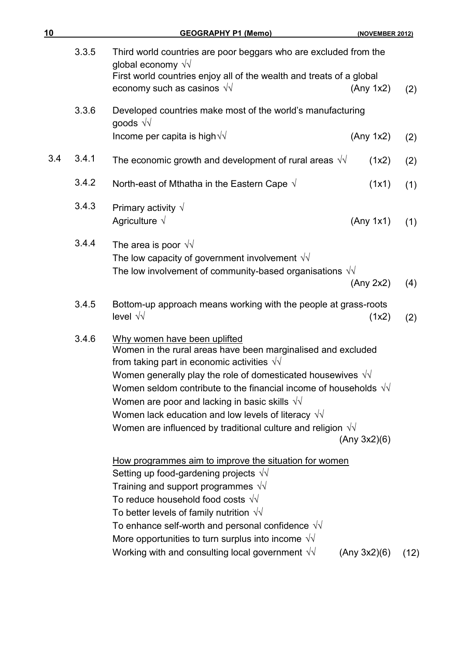| 10  |       | <b>GEOGRAPHY P1 (Memo)</b>                                                                                                                                                                                                                                                                                                                                                                                                                                                                          | (NOVEMBER 2012) |      |
|-----|-------|-----------------------------------------------------------------------------------------------------------------------------------------------------------------------------------------------------------------------------------------------------------------------------------------------------------------------------------------------------------------------------------------------------------------------------------------------------------------------------------------------------|-----------------|------|
|     | 3.3.5 | Third world countries are poor beggars who are excluded from the<br>global economy $\sqrt{v}$<br>First world countries enjoy all of the wealth and treats of a global                                                                                                                                                                                                                                                                                                                               |                 |      |
|     |       | economy such as casinos $\sqrt{v}$                                                                                                                                                                                                                                                                                                                                                                                                                                                                  | (Any 1x2)       | (2)  |
|     | 3.3.6 | Developed countries make most of the world's manufacturing<br>goods $\sqrt{v}$                                                                                                                                                                                                                                                                                                                                                                                                                      |                 |      |
|     |       | Income per capita is high $\sqrt{\sqrt{}}$                                                                                                                                                                                                                                                                                                                                                                                                                                                          | (Any 1x2)       | (2)  |
| 3.4 | 3.4.1 | The economic growth and development of rural areas $\sqrt{v}$                                                                                                                                                                                                                                                                                                                                                                                                                                       | (1x2)           | (2)  |
|     | 3.4.2 | North-east of Mthatha in the Eastern Cape $\sqrt{ }$                                                                                                                                                                                                                                                                                                                                                                                                                                                | (1x1)           | (1)  |
|     | 3.4.3 | Primary activity $\sqrt{}$<br>Agriculture $\sqrt{}$                                                                                                                                                                                                                                                                                                                                                                                                                                                 | (Any 1x1)       | (1)  |
|     | 3.4.4 | The area is poor $\sqrt{v}$<br>The low capacity of government involvement $\sqrt{v}$<br>The low involvement of community-based organisations $\sqrt{v}$                                                                                                                                                                                                                                                                                                                                             | (Any 2x2)       | (4)  |
|     | 3.4.5 | Bottom-up approach means working with the people at grass-roots<br>level $\sqrt{v}$                                                                                                                                                                                                                                                                                                                                                                                                                 | (1x2)           | (2)  |
|     | 3.4.6 | Why women have been uplifted<br>Women in the rural areas have been marginalised and excluded<br>from taking part in economic activities $\sqrt{v}$<br>Women generally play the role of domesticated housewives $\sqrt{v}$<br>Women seldom contribute to the financial income of households $\sqrt{v}$<br>Women are poor and lacking in basic skills $\sqrt{v}$<br>Women lack education and low levels of literacy $\sqrt{v}$<br>Women are influenced by traditional culture and religion $\sqrt{v}$ | (Any 3x2)(6)    |      |
|     |       | How programmes aim to improve the situation for women<br>Setting up food-gardening projects $\sqrt{v}$<br>Training and support programmes $\sqrt{v}$<br>To reduce household food costs $\sqrt{v}$<br>To better levels of family nutrition $\sqrt{v}$<br>To enhance self-worth and personal confidence $\sqrt{v}$<br>More opportunities to turn surplus into income $\sqrt{v}$<br>Working with and consulting local government $\sqrt{v}$                                                            | (Any 3x2)(6)    | (12) |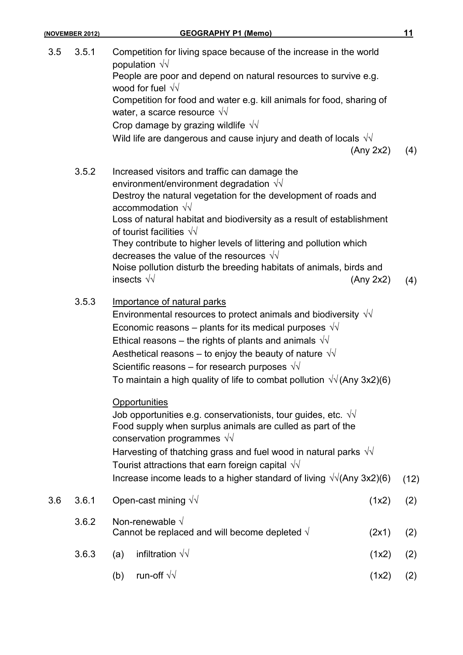| (NOVEMBER 2012) |       | <b>GEOGRAPHY P1 (Memo)</b>                                                                                                                                                                                                                                                                                                                                                                                                                                                                                                                    |      |
|-----------------|-------|-----------------------------------------------------------------------------------------------------------------------------------------------------------------------------------------------------------------------------------------------------------------------------------------------------------------------------------------------------------------------------------------------------------------------------------------------------------------------------------------------------------------------------------------------|------|
| 3.5             | 3.5.1 | Competition for living space because of the increase in the world<br>population $\sqrt{v}$<br>People are poor and depend on natural resources to survive e.g.<br>wood for fuel $\sqrt{v}$<br>Competition for food and water e.g. kill animals for food, sharing of<br>water, a scarce resource $\sqrt{v}$<br>Crop damage by grazing wildlife $\sqrt{v}$                                                                                                                                                                                       |      |
|                 |       | Wild life are dangerous and cause injury and death of locals $\sqrt{v}$<br>(Any 2x2)                                                                                                                                                                                                                                                                                                                                                                                                                                                          | (4)  |
|                 | 3.5.2 | Increased visitors and traffic can damage the<br>environment/environment degradation $\sqrt{v}$<br>Destroy the natural vegetation for the development of roads and<br>accommodation $\sqrt{v}$<br>Loss of natural habitat and biodiversity as a result of establishment<br>of tourist facilities $\sqrt{v}$<br>They contribute to higher levels of littering and pollution which<br>decreases the value of the resources $\sqrt{v}$<br>Noise pollution disturb the breeding habitats of animals, birds and<br>insects $\sqrt{v}$<br>(Any 2x2) | (4)  |
|                 | 3.5.3 | Importance of natural parks<br>Environmental resources to protect animals and biodiversity $\sqrt{v}$<br>Economic reasons – plants for its medical purposes $\sqrt{v}$<br>Ethical reasons – the rights of plants and animals $\sqrt{v}$<br>Aesthetical reasons – to enjoy the beauty of nature $\sqrt{v}$<br>Scientific reasons – for research purposes $\sqrt{v}$<br>To maintain a high quality of life to combat pollution $\sqrt{\sqrt{(A}}$ ny 3x2)(6)                                                                                    |      |
|                 |       | Opportunities<br>Job opportunities e.g. conservationists, tour guides, etc. $\sqrt{v}$<br>Food supply when surplus animals are culled as part of the<br>conservation programmes $\sqrt{v}$<br>Harvesting of thatching grass and fuel wood in natural parks $\sqrt{v}$<br>Tourist attractions that earn foreign capital $\sqrt{v}$<br>Increase income leads to a higher standard of living $\sqrt{1}$ (Any 3x2)(6)                                                                                                                             | (12) |
| 3.6             | 3.6.1 | Open-cast mining $\sqrt{v}$<br>(1x2)                                                                                                                                                                                                                                                                                                                                                                                                                                                                                                          | (2)  |
|                 | 3.6.2 | Non-renewable $\sqrt{}$<br>Cannot be replaced and will become depleted $\sqrt{ }$<br>(2x1)                                                                                                                                                                                                                                                                                                                                                                                                                                                    | (2)  |
|                 | 3.6.3 | infiltration $\sqrt{v}$<br>(a)<br>(1x2)                                                                                                                                                                                                                                                                                                                                                                                                                                                                                                       | (2)  |
|                 |       | run-off $\sqrt{v}$<br>(b)<br>(1x2)                                                                                                                                                                                                                                                                                                                                                                                                                                                                                                            | (2)  |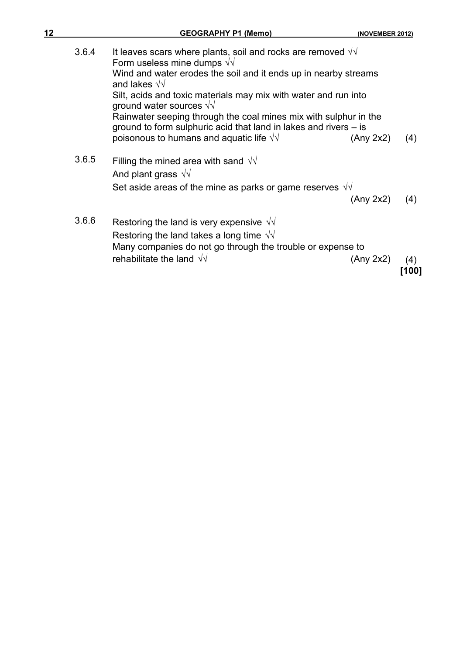| 12 |       | <b>GEOGRAPHY P1 (Memo)</b>                                                                                                           | (NOVEMBER 2012) |     |
|----|-------|--------------------------------------------------------------------------------------------------------------------------------------|-----------------|-----|
|    | 3.6.4 | It leaves scars where plants, soil and rocks are removed $\sqrt{v}$<br>Form useless mine dumps $\sqrt{v}$                            |                 |     |
|    |       | Wind and water erodes the soil and it ends up in nearby streams<br>and lakes $\sqrt{v}$                                              |                 |     |
|    |       | Silt, acids and toxic materials may mix with water and run into<br>ground water sources $\sqrt{\sqrt{2}}$                            |                 |     |
|    |       | Rainwater seeping through the coal mines mix with sulphur in the<br>ground to form sulphuric acid that land in lakes and rivers – is |                 |     |
|    |       | poisonous to humans and aquatic life $\sqrt{v}$                                                                                      | (Any 2x2)       | (4) |
|    | 3.6.5 | Filling the mined area with sand $\sqrt{v}$<br>And plant grass $\sqrt{v}$                                                            |                 |     |
|    |       | Set aside areas of the mine as parks or game reserves $\sqrt{v}$                                                                     |                 |     |
|    |       |                                                                                                                                      | (Any 2x2)       | (4) |
|    | 3.6.6 | Restoring the land is very expensive $\sqrt{v}$                                                                                      |                 |     |
|    |       | Restoring the land takes a long time $\sqrt{v}$<br>Many companies do not go through the trouble or expense to                        |                 |     |
|    |       | rehabilitate the land $\sqrt{v}$                                                                                                     | (Any 2x2)       | (4) |
|    |       |                                                                                                                                      |                 |     |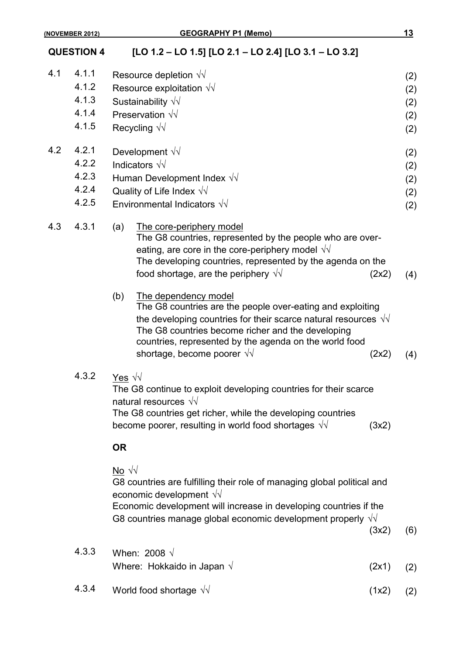### **QUESTION 4 [LO 1.2 – LO 1.5] [LO 2.1 – LO 2.4] [LO 3.1 – LO 3.2]**

| 4.1 | 4.1.1 | Resource depletion $\sqrt{v}$                                                                                                                                                                                                                                                                                                     | (2) |
|-----|-------|-----------------------------------------------------------------------------------------------------------------------------------------------------------------------------------------------------------------------------------------------------------------------------------------------------------------------------------|-----|
|     | 4.1.2 | Resource exploitation $\sqrt{v}$                                                                                                                                                                                                                                                                                                  | (2) |
|     | 4.1.3 | Sustainability $\sqrt{v}$                                                                                                                                                                                                                                                                                                         | (2) |
|     | 4.1.4 | Preservation $\sqrt{v}$                                                                                                                                                                                                                                                                                                           | (2) |
|     | 4.1.5 | Recycling $\sqrt{v}$                                                                                                                                                                                                                                                                                                              | (2) |
|     |       |                                                                                                                                                                                                                                                                                                                                   |     |
| 4.2 | 4.2.1 | Development $\sqrt{v}$                                                                                                                                                                                                                                                                                                            | (2) |
|     | 4.2.2 | Indicators $\sqrt{v}$                                                                                                                                                                                                                                                                                                             | (2) |
|     | 4.2.3 | Human Development Index $\sqrt{v}$                                                                                                                                                                                                                                                                                                | (2) |
|     | 4.2.4 | Quality of Life Index $\sqrt{v}$                                                                                                                                                                                                                                                                                                  | (2) |
|     | 4.2.5 | Environmental Indicators $\sqrt{v}$                                                                                                                                                                                                                                                                                               | (2) |
| 4.3 | 4.3.1 | The core-periphery model<br>(a)<br>The G8 countries, represented by the people who are over-<br>eating, are core in the core-periphery model $\sqrt{v}$<br>The developing countries, represented by the agenda on the<br>food shortage, are the periphery $\sqrt{v}$<br>(2x2)                                                     | (4) |
|     |       | (b)<br>The dependency model<br>The G8 countries are the people over-eating and exploiting<br>the developing countries for their scarce natural resources $\sqrt{v}$<br>The G8 countries become richer and the developing<br>countries, represented by the agenda on the world food<br>shortage, become poorer $\sqrt{v}$<br>(2x2) | (4) |
|     | 4.3.2 | Yes $\sqrt{v}$<br>The G8 continue to exploit developing countries for their scarce<br>natural resources $\sqrt{v}$<br>The G8 countries get richer, while the developing countries<br>become poorer, resulting in world food shortages $\sqrt{v}$<br>(3x2)                                                                         |     |
|     |       | <b>OR</b>                                                                                                                                                                                                                                                                                                                         |     |
|     |       | $\overline{NQ}$ $\sqrt{V}$<br>G8 countries are fulfilling their role of managing global political and<br>economic development $\sqrt{v}$<br>Economic development will increase in developing countries if the<br>G8 countries manage global economic development properly $\sqrt{v}$<br>(3x2)                                     | (6) |
|     | 4.3.3 |                                                                                                                                                                                                                                                                                                                                   |     |
|     |       | When: 2008 $\sqrt$<br>Where: Hokkaido in Japan $\sqrt{}$<br>(2x1)                                                                                                                                                                                                                                                                 | (2) |
|     |       |                                                                                                                                                                                                                                                                                                                                   |     |

4.3.4 World food shortage *√*√ (1x2) (2)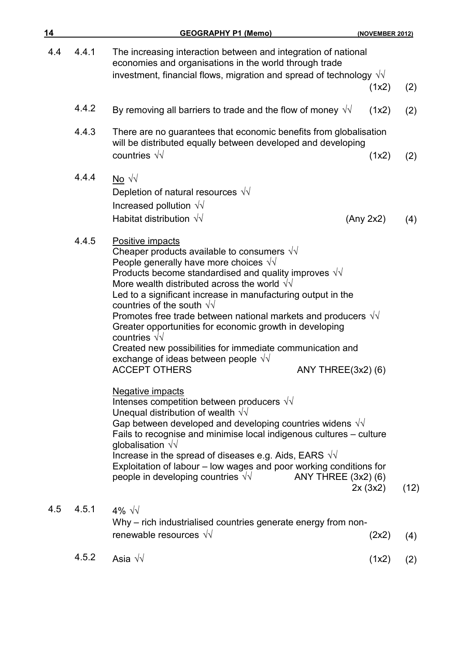| 14  |       | <b>GEOGRAPHY P1 (Memo)</b>                                                                                                                                                                                                                                                                                                                                                                                                                                                                                                                                                                                                                                                      | (NOVEMBER 2012) |      |
|-----|-------|---------------------------------------------------------------------------------------------------------------------------------------------------------------------------------------------------------------------------------------------------------------------------------------------------------------------------------------------------------------------------------------------------------------------------------------------------------------------------------------------------------------------------------------------------------------------------------------------------------------------------------------------------------------------------------|-----------------|------|
| 4.4 | 4.4.1 | The increasing interaction between and integration of national<br>economies and organisations in the world through trade<br>investment, financial flows, migration and spread of technology $\sqrt{v}$                                                                                                                                                                                                                                                                                                                                                                                                                                                                          | (1x2)           | (2)  |
|     | 4.4.2 | By removing all barriers to trade and the flow of money $\sqrt{v}$                                                                                                                                                                                                                                                                                                                                                                                                                                                                                                                                                                                                              | (1x2)           | (2)  |
|     | 4.4.3 | There are no guarantees that economic benefits from globalisation<br>will be distributed equally between developed and developing<br>countries $\sqrt{v}$                                                                                                                                                                                                                                                                                                                                                                                                                                                                                                                       | (1x2)           | (2)  |
|     | 4.4.4 | No $\sqrt{v}$<br>Depletion of natural resources $\sqrt{v}$<br>Increased pollution $\sqrt{v}$<br>Habitat distribution $\sqrt{v}$                                                                                                                                                                                                                                                                                                                                                                                                                                                                                                                                                 | (Any 2x2)       | (4)  |
|     | 4.4.5 | Positive impacts<br>Cheaper products available to consumers $\sqrt{v}$<br>People generally have more choices $\sqrt{v}$<br>Products become standardised and quality improves $\sqrt{v}$<br>More wealth distributed across the world $\sqrt{d}$<br>Led to a significant increase in manufacturing output in the<br>countries of the south $\sqrt{v}$<br>Promotes free trade between national markets and producers $\sqrt{v}$<br>Greater opportunities for economic growth in developing<br>countries $\sqrt{v}$<br>Created new possibilities for immediate communication and<br>exchange of ideas between people $\sqrt{v}$<br><b>ACCEPT OTHERS</b><br><b>ANY THREE(3x2)(6)</b> |                 |      |
|     |       | Negative impacts<br>Intenses competition between producers $\sqrt{v}$<br>Unequal distribution of wealth $\sqrt{v}$<br>Gap between developed and developing countries widens $\sqrt{v}$<br>Fails to recognise and minimise local indigenous cultures - culture<br>globalisation $\sqrt{v}$<br>Increase in the spread of diseases e.g. Aids, EARS $\sqrt{v}$<br>Exploitation of labour - low wages and poor working conditions for<br>people in developing countries $\sqrt{v}$<br>ANY THREE (3x2) (6)                                                                                                                                                                            | 2x(3x2)         | (12) |
| 4.5 | 4.5.1 | 4% $\sqrt{2}$<br>Why - rich industrialised countries generate energy from non-<br>renewable resources $\sqrt{v}$                                                                                                                                                                                                                                                                                                                                                                                                                                                                                                                                                                | (2x2)           | (4)  |
|     | 4.5.2 | Asia $\sqrt{v}$                                                                                                                                                                                                                                                                                                                                                                                                                                                                                                                                                                                                                                                                 | (1x2)           | (2)  |